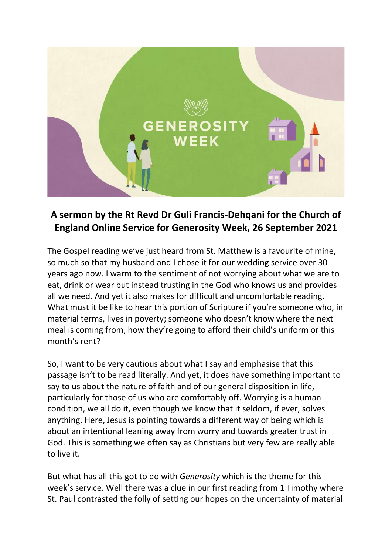

## **A sermon by the Rt Revd Dr Guli Francis-Dehqani for the Church of England Online Service for Generosity Week, 26 September 2021**

The Gospel reading we've just heard from St. Matthew is a favourite of mine, so much so that my husband and I chose it for our wedding service over 30 years ago now. I warm to the sentiment of not worrying about what we are to eat, drink or wear but instead trusting in the God who knows us and provides all we need. And yet it also makes for difficult and uncomfortable reading. What must it be like to hear this portion of Scripture if you're someone who, in material terms, lives in poverty; someone who doesn't know where the next meal is coming from, how they're going to afford their child's uniform or this month's rent?

So, I want to be very cautious about what I say and emphasise that this passage isn't to be read literally. And yet, it does have something important to say to us about the nature of faith and of our general disposition in life, particularly for those of us who are comfortably off. Worrying is a human condition, we all do it, even though we know that it seldom, if ever, solves anything. Here, Jesus is pointing towards a different way of being which is about an intentional leaning away from worry and towards greater trust in God. This is something we often say as Christians but very few are really able to live it.

But what has all this got to do with *Generosity* which is the theme for this week's service. Well there was a clue in our first reading from 1 Timothy where St. Paul contrasted the folly of setting our hopes on the uncertainty of material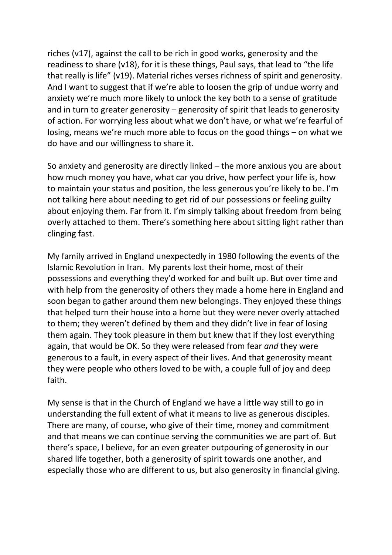riches (v17), against the call to be rich in good works, generosity and the readiness to share (v18), for it is these things, Paul says, that lead to "the life that really is life" (v19). Material riches verses richness of spirit and generosity. And I want to suggest that if we're able to loosen the grip of undue worry and anxiety we're much more likely to unlock the key both to a sense of gratitude and in turn to greater generosity – generosity of spirit that leads to generosity of action. For worrying less about what we don't have, or what we're fearful of losing, means we're much more able to focus on the good things – on what we do have and our willingness to share it.

So anxiety and generosity are directly linked – the more anxious you are about how much money you have, what car you drive, how perfect your life is, how to maintain your status and position, the less generous you're likely to be. I'm not talking here about needing to get rid of our possessions or feeling guilty about enjoying them. Far from it. I'm simply talking about freedom from being overly attached to them. There's something here about sitting light rather than clinging fast.

My family arrived in England unexpectedly in 1980 following the events of the Islamic Revolution in Iran. My parents lost their home, most of their possessions and everything they'd worked for and built up. But over time and with help from the generosity of others they made a home here in England and soon began to gather around them new belongings. They enjoyed these things that helped turn their house into a home but they were never overly attached to them; they weren't defined by them and they didn't live in fear of losing them again. They took pleasure in them but knew that if they lost everything again, that would be OK. So they were released from fear *and* they were generous to a fault, in every aspect of their lives. And that generosity meant they were people who others loved to be with, a couple full of joy and deep faith.

My sense is that in the Church of England we have a little way still to go in understanding the full extent of what it means to live as generous disciples. There are many, of course, who give of their time, money and commitment and that means we can continue serving the communities we are part of. But there's space, I believe, for an even greater outpouring of generosity in our shared life together, both a generosity of spirit towards one another, and especially those who are different to us, but also generosity in financial giving.